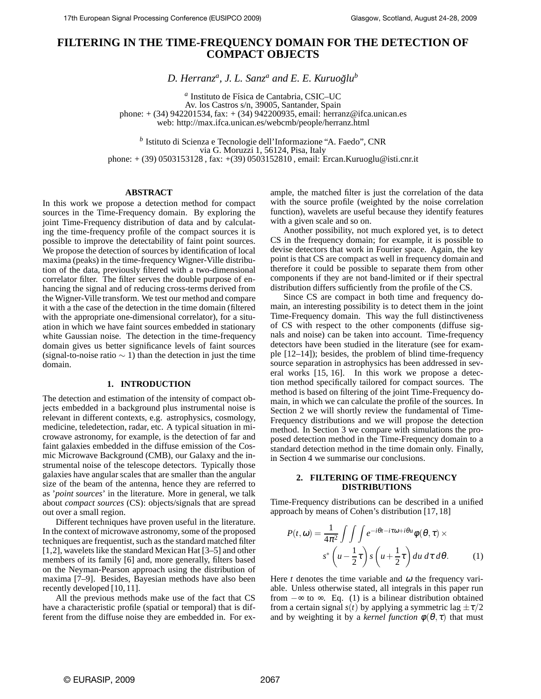# **FILTERING IN THE TIME-FREQUENCY DOMAIN FOR THE DETECTION OF COMPACT OBJECTS**

D. Herranz<sup>a</sup>, J. L. Sanz<sup>a</sup> and E. E. Kuruoğlu<sup>b</sup>

<sup>a</sup> Instituto de Física de Cantabria, CSIC-UC Av. los Castros s/n, 39005, Santander, Spain phone: + (34) 942201534, fax: + (34) 942200935, email: herranz@ifca.unican.es web: http://max.ifca.unican.es/webcmb/people/herranz.html

*b* Istituto di Scienza e Tecnologie dell'Informazione "A. Faedo", CNR via G. Moruzzi 1, 56124, Pisa, Italy phone: + (39) 0503153128 , fax: +(39) 0503152810 , email: Ercan.Kuruoglu@isti.cnr.it

### **ABSTRACT**

In this work we propose a detection method for compact sources in the Time-Frequency domain. By exploring the joint Time-Frequency distribution of data and by calculating the time-frequency profile of the compact sources it is possible to improve the detectability of faint point sources. We propose the detection of sources by identification of local maxima (peaks) in the time-frequency Wigner-Ville distribution of the data, previously filtered with a two-dimensional correlator filter. The filter serves the double purpose of enhancing the signal and of reducing cross-terms derived from the Wigner-Ville transform. We test our method and compare it with a the case of the detection in the time domain (filtered with the appropriate one-dimensional correlator), for a situation in which we have faint sources embedded in stationary white Gaussian noise. The detection in the time-frequency domain gives us better significance levels of faint sources (signal-to-noise ratio  $\sim$  1) than the detection in just the time domain.

## **1. INTRODUCTION**

The detection and estimation of the intensity of compact objects embedded in a background plus instrumental noise is relevant in different contexts, e.g. astrophysics, cosmology, medicine, teledetection, radar, etc. A typical situation in microwave astronomy, for example, is the detection of far and faint galaxies embedded in the diffuse emission of the Cosmic Microwave Background (CMB), our Galaxy and the instrumental noise of the telescope detectors. Typically those galaxies have angular scales that are smaller than the angular size of the beam of the antenna, hence they are referred to as '*point sources*' in the literature. More in general, we talk about *compact sources* (CS): objects/signals that are spread out over a small region.

Different techniques have proven useful in the literature. In the context of microwave astronomy, some of the proposed techniques are frequentist, such as the standard matched filter [1,2], wavelets like the standard Mexican Hat [3–5] and other members of its family [6] and, more generally, filters based on the Neyman-Pearson approach using the distribution of maxima [7–9]. Besides, Bayesian methods have also been recently developed [10, 11].

All the previous methods make use of the fact that CS have a characteristic profile (spatial or temporal) that is different from the diffuse noise they are embedded in. For example, the matched filter is just the correlation of the data with the source profile (weighted by the noise correlation function), wavelets are useful because they identify features with a given scale and so on.

Another possibility, not much explored yet, is to detect CS in the frequency domain; for example, it is possible to devise detectors that work in Fourier space. Again, the key point is that CS are compact as well in frequency domain and therefore it could be possible to separate them from other components if they are not band-limited or if their spectral distribution differs sufficiently from the profile of the CS.

Since CS are compact in both time and frequency domain, an interesting possibility is to detect them in the joint Time-Frequency domain. This way the full distinctiveness of CS with respect to the other components (diffuse signals and noise) can be taken into account. Time-frequency detectors have been studied in the literature (see for example [12–14]); besides, the problem of blind time-frequency source separation in astrophysics has been addressed in several works [15, 16]. In this work we propose a detection method specifically tailored for compact sources. The method is based on filtering of the joint Time-Frequency domain, in which we can calculate the profile of the sources. In Section 2 we will shortly review the fundamental of Time-Frequency distributions and we will propose the detection method. In Section 3 we compare with simulations the proposed detection method in the Time-Frequency domain to a standard detection method in the time domain only. Finally, in Section 4 we summarise our conclusions.

## **2. FILTERING OF TIME-FREQUENCY DISTRIBUTIONS**

Time-Frequency distributions can be described in a unified approach by means of Cohen's distribution [17, 18]

$$
P(t, \omega) = \frac{1}{4\pi^2} \int \int \int e^{-i\theta t - i\tau \omega + i\theta u} \phi(\theta, \tau) \times
$$

$$
s^* \left( u - \frac{1}{2}\tau \right) s \left( u + \frac{1}{2}\tau \right) du \, d\tau \, d\theta. \tag{1}
$$

Here  $t$  denotes the time variable and  $\omega$  the frequency variable. Unless otherwise stated, all integrals in this paper run from  $-\infty$  to  $\infty$ . Eq. (1) is a bilinear distribution obtained from a certain signal  $s(t)$  by applying a symmetric lag  $\pm \tau/2$ and by weighting it by a *kernel function*  $\phi(\theta, \tau)$  that must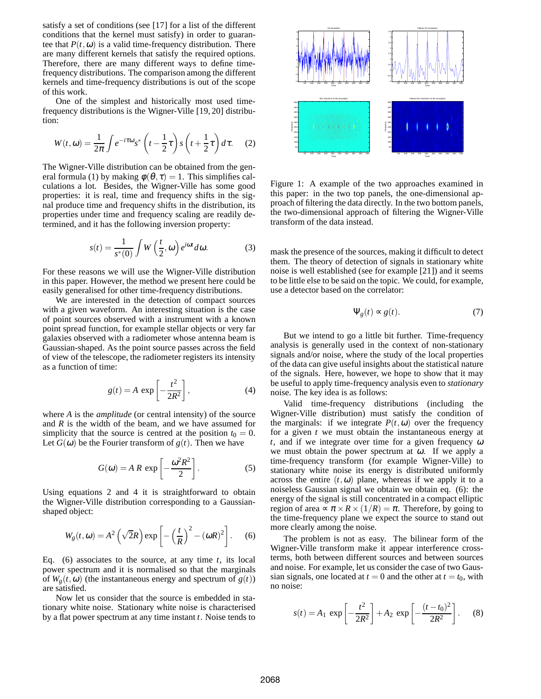satisfy a set of conditions (see [17] for a list of the different conditions that the kernel must satisfy) in order to guarantee that  $P(t, \omega)$  is a valid time-frequency distribution. There are many different kernels that satisfy the required options. Therefore, there are many different ways to define timefrequency distributions. The comparison among the different kernels and time-frequency distributions is out of the scope of this work.

One of the simplest and historically most used timefrequency distributions is the Wigner-Ville [19, 20] distribution:

$$
W(t, \omega) = \frac{1}{2\pi} \int e^{-i\tau \omega} s^* \left( t - \frac{1}{2} \tau \right) s \left( t + \frac{1}{2} \tau \right) d\tau. \tag{2}
$$

The Wigner-Ville distribution can be obtained from the general formula (1) by making  $\phi(\theta, \tau) = 1$ . This simplifies calculations a lot. Besides, the Wigner-Ville has some good properties: it is real, time and frequency shifts in the signal produce time and frequency shifts in the distribution, its properties under time and frequency scaling are readily determined, and it has the following inversion property:

$$
s(t) = \frac{1}{s^*(0)} \int W\left(\frac{t}{2}, \omega\right) e^{i\omega t} d\omega.
$$
 (3)

For these reasons we will use the Wigner-Ville distribution in this paper. However, the method we present here could be easily generalised for other time-frequency distributions.

We are interested in the detection of compact sources with a given waveform. An interesting situation is the case of point sources observed with a instrument with a known point spread function, for example stellar objects or very far galaxies observed with a radiometer whose antenna beam is Gaussian-shaped. As the point source passes across the field of view of the telescope, the radiometer registers its intensity as a function of time:

$$
g(t) = A \exp\left[-\frac{t^2}{2R^2}\right],
$$
 (4)

where *A* is the *amplitude* (or central intensity) of the source and *R* is the width of the beam, and we have assumed for simplicity that the source is centred at the position  $t_0 = 0$ . Let  $G(\omega)$  be the Fourier transform of  $g(t)$ . Then we have

$$
G(\omega) = AR \exp\left[-\frac{\omega^2 R^2}{2}\right].
$$
 (5)

Using equations 2 and 4 it is straightforward to obtain the Wigner-Ville distribution corresponding to a Gaussianshaped object:

$$
W_g(t, \omega) = A^2 \left( \sqrt{2}R \right) \exp \left[ -\left(\frac{t}{R}\right)^2 - (\omega R)^2 \right].
$$
 (6)

Eq. (6) associates to the source, at any time *t*, its local power spectrum and it is normalised so that the marginals of  $W_g(t, \omega)$  (the instantaneous energy and spectrum of  $g(t)$ ) are satisfied.

Now let us consider that the source is embedded in stationary white noise. Stationary white noise is characterised by a flat power spectrum at any time instant *t*. Noise tends to



Figure 1: A example of the two approaches examined in this paper: in the two top panels, the one-dimensional approach of filtering the data directly. In the two bottom panels, the two-dimensional approach of filtering the Wigner-Ville transform of the data instead.

mask the presence of the sources, making it difficult to detect them. The theory of detection of signals in stationary white noise is well established (see for example [21]) and it seems to be little else to be said on the topic. We could, for example, use a detector based on the correlator:

$$
\Psi_g(t) \approx g(t). \tag{7}
$$

But we intend to go a little bit further. Time-frequency analysis is generally used in the context of non-stationary signals and/or noise, where the study of the local properties of the data can give useful insights about the statistical nature of the signals. Here, however, we hope to show that it may be useful to apply time-frequency analysis even to *stationary* noise. The key idea is as follows:

Valid time-frequency distributions (including the Wigner-Ville distribution) must satisfy the condition of the marginals: if we integrate  $P(t, \omega)$  over the frequency for a given *t* we must obtain the instantaneous energy at *t*, and if we integrate over time for a given frequency <sup>ω</sup> we must obtain the power spectrum at  $\omega$ . If we apply a time-frequency transform (for example Wigner-Ville) to stationary white noise its energy is distributed uniformly across the entire  $(t, \omega)$  plane, whereas if we apply it to a noiseless Gaussian signal we obtain we obtain eq. (6): the energy of the signal is still concentrated in a compact elliptic region of area  $\propto \pi \times R \times (1/R) = \pi$ . Therefore, by going to the time-frequency plane we expect the source to stand out more clearly among the noise.

The problem is not as easy. The bilinear form of the Wigner-Ville transform make it appear interference crossterms, both between different sources and between sources and noise. For example, let us consider the case of two Gaussian signals, one located at  $t = 0$  and the other at  $t = t_0$ , with no noise:

$$
s(t) = A_1 \exp\left[-\frac{t^2}{2R^2}\right] + A_2 \exp\left[-\frac{(t-t_0)^2}{2R^2}\right].
$$
 (8)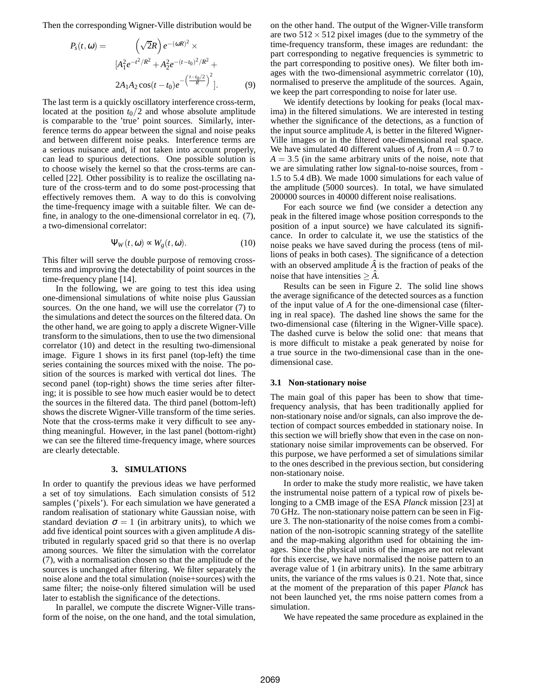Then the corresponding Wigner-Ville distribution would be

$$
P_s(t, \omega) = \left(\sqrt{2}R\right)e^{-(\omega R)^2} \times
$$

$$
[A_1^2 e^{-t^2/R^2} + A_2^2 e^{-(t-t_0)^2/R^2} +
$$

$$
2A_1 A_2 \cos(t - t_0)e^{-\left(\frac{t-t_0/2}{R}\right)^2}].
$$
(9)

The last term is a quickly oscillatory interference cross-term, located at the position  $t_0/2$  and whose absolute amplitude is comparable to the 'true' point sources. Similarly, interference terms do appear between the signal and noise peaks and between different noise peaks. Interference terms are a serious nuisance and, if not taken into account properly, can lead to spurious detections. One possible solution is to choose wisely the kernel so that the cross-terms are cancelled [22]. Other possibility is to realize the oscillating nature of the cross-term and to do some post-processing that effectively removes them. A way to do this is convolving the time-frequency image with a suitable filter. We can define, in analogy to the one-dimensional correlator in eq. (7), a two-dimensional correlator:

$$
\Psi_W(t, \omega) \propto W_g(t, \omega). \tag{10}
$$

This filter will serve the double purpose of removing crossterms and improving the detectability of point sources in the time-frequency plane [14].

In the following, we are going to test this idea using one-dimensional simulations of white noise plus Gaussian sources. On the one hand, we will use the correlator (7) to the simulations and detect the sources on the filtered data. On the other hand, we are going to apply a discrete Wigner-Ville transform to the simulations, then to use the two dimensional correlator (10) and detect in the resulting two-dimensional image. Figure 1 shows in its first panel (top-left) the time series containing the sources mixed with the noise. The position of the sources is marked with vertical dot lines. The second panel (top-right) shows the time series after filtering; it is possible to see how much easier would be to detect the sources in the filtered data. The third panel (bottom-left) shows the discrete Wigner-Ville transform of the time series. Note that the cross-terms make it very difficult to see anything meaningful. However, in the last panel (bottom-right) we can see the filtered time-frequency image, where sources are clearly detectable.

#### **3. SIMULATIONS**

In order to quantify the previous ideas we have performed a set of toy simulations. Each simulation consists of 512 samples ('pixels'). For each simulation we have generated a random realisation of stationary white Gaussian noise, with standard deviation  $\sigma = 1$  (in arbitrary units), to which we add five identical point sources with a given amplitude *A* distributed in regularly spaced grid so that there is no overlap among sources. We filter the simulation with the correlator (7), with a normalisation chosen so that the amplitude of the sources is unchanged after filtering. We filter separately the noise alone and the total simulation (noise+sources) with the same filter; the noise-only filtered simulation will be used later to establish the significance of the detections.

In parallel, we compute the discrete Wigner-Ville transform of the noise, on the one hand, and the total simulation, on the other hand. The output of the Wigner-Ville transform are two  $512 \times 512$  pixel images (due to the symmetry of the time-frequency transform, these images are redundant: the part corresponding to negative frequencies is symmetric to the part corresponding to positive ones). We filter both images with the two-dimensional asymmetric correlator (10), normalised to preserve the amplitude of the sources. Again, we keep the part corresponding to noise for later use.

We identify detections by looking for peaks (local maxima) in the filtered simulations. We are interested in testing whether the significance of the detections, as a function of the input source amplitude *A*, is better in the filtered Wigner-Ville images or in the filtered one-dimensional real space. We have simulated 40 different values of  $A$ , from  $A = 0.7$  to  $A = 3.5$  (in the same arbitrary units of the noise, note that we are simulating rather low signal-to-noise sources, from - 1.5 to 5.4 dB). We made 1000 simulations for each value of the amplitude (5000 sources). In total, we have simulated 200000 sources in 40000 different noise realisations.

For each source we find (we consider a detection any peak in the filtered image whose position corresponds to the position of a input source) we have calculated its significance. In order to calculate it, we use the statistics of the noise peaks we have saved during the process (tens of millions of peaks in both cases). The significance of a detection with an observed amplitude  $\vec{A}$  is the fraction of peaks of the noise that have intensities  $\geq \hat{A}$ .

Results can be seen in Figure 2. The solid line shows the average significance of the detected sources as a function of the input value of *A* for the one-dimensional case (filtering in real space). The dashed line shows the same for the two-dimensional case (filtering in the Wigner-Ville space). The dashed curve is below the solid one: that means that is more difficult to mistake a peak generated by noise for a true source in the two-dimensional case than in the onedimensional case.

## **3.1 Non-stationary noise**

The main goal of this paper has been to show that timefrequency analysis, that has been traditionally applied for non-stationary noise and/or signals, can also improve the detection of compact sources embedded in stationary noise. In this section we will briefly show that even in the case on nonstationary noise similar improvements can be observed. For this purpose, we have performed a set of simulations similar to the ones described in the previous section, but considering non-stationary noise.

In order to make the study more realistic, we have taken the instrumental noise pattern of a typical row of pixels belonging to a CMB image of the ESA *Planck* mission [23] at 70 GHz. The non-stationary noise pattern can be seen in Figure 3. The non-stationarity of the noise comes from a combination of the non-isotropic scanning strategy of the satellite and the map-making algorithm used for obtaining the images. Since the physical units of the images are not relevant for this exercise, we have normalised the noise pattern to an average value of 1 (in arbitrary units). In the same arbitrary units, the variance of the rms values is 0.21. Note that, since at the moment of the preparation of this paper *Planck* has not been launched yet, the rms noise pattern comes from a simulation.

We have repeated the same procedure as explained in the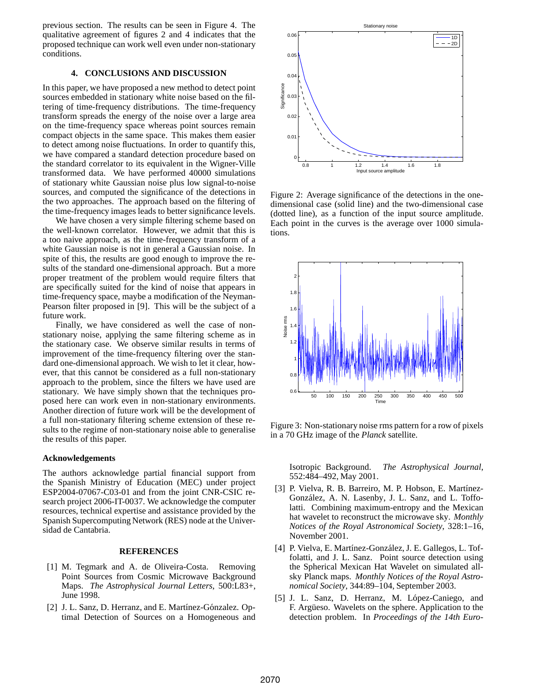previous section. The results can be seen in Figure 4. The qualitative agreement of figures 2 and 4 indicates that the proposed technique can work well even under non-stationary conditions.

## **4. CONCLUSIONS AND DISCUSSION**

In this paper, we have proposed a new method to detect point sources embedded in stationary white noise based on the filtering of time-frequency distributions. The time-frequency transform spreads the energy of the noise over a large area on the time-frequency space whereas point sources remain compact objects in the same space. This makes them easier to detect among noise fluctuations. In order to quantify this, we have compared a standard detection procedure based on the standard correlator to its equivalent in the Wigner-Ville transformed data. We have performed 40000 simulations of stationary white Gaussian noise plus low signal-to-noise sources, and computed the significance of the detections in the two approaches. The approach based on the filtering of the time-frequency images leads to better significance levels.

We have chosen a very simple filtering scheme based on the well-known correlator. However, we admit that this is a too naive approach, as the time-frequency transform of a white Gaussian noise is not in general a Gaussian noise. In spite of this, the results are good enough to improve the results of the standard one-dimensional approach. But a more proper treatment of the problem would require filters that are specifically suited for the kind of noise that appears in time-frequency space, maybe a modification of the Neyman-Pearson filter proposed in [9]. This will be the subject of a future work.

Finally, we have considered as well the case of nonstationary noise, applying the same filtering scheme as in the stationary case. We observe similar results in terms of improvement of the time-frequency filtering over the standard one-dimensional approach. We wish to let it clear, however, that this cannot be considered as a full non-stationary approach to the problem, since the filters we have used are stationary. We have simply shown that the techniques proposed here can work even in non-stationary environments. Another direction of future work will be the development of a full non-stationary filtering scheme extension of these results to the regime of non-stationary noise able to generalise the results of this paper.

#### **Acknowledgements**

The authors acknowledge partial financial support from the Spanish Ministry of Education (MEC) under project ESP2004-07067-C03-01 and from the joint CNR-CSIC research project 2006-IT-0037. We acknowledge the computer resources, technical expertise and assistance provided by the Spanish Supercomputing Network (RES) node at the Universidad de Cantabria.

#### **REFERENCES**

- [1] M. Tegmark and A. de Oliveira-Costa. Removing Point Sources from Cosmic Microwave Background Maps. *The Astrophysical Journal Letters*, 500:L83+, June 1998.
- [2] J. L. Sanz, D. Herranz, and E. Martínez-Gónzalez. Optimal Detection of Sources on a Homogeneous and



Figure 2: Average significance of the detections in the onedimensional case (solid line) and the two-dimensional case (dotted line), as a function of the input source amplitude. Each point in the curves is the average over 1000 simulations.



Figure 3: Non-stationary noise rms pattern for a row of pixels in a 70 GHz image of the *Planck* satellite.

Isotropic Background. *The Astrophysical Journal*, 552:484–492, May 2001.

- [3] P. Vielva, R. B. Barreiro, M. P. Hobson, E. Martínez-González, A. N. Lasenby, J. L. Sanz, and L. Toffolatti. Combining maximum-entropy and the Mexican hat wavelet to reconstruct the microwave sky. *Monthly Notices of the Royal Astronomical Society*, 328:1–16, November 2001.
- [4] P. Vielva, E. Martínez-González, J. E. Gallegos, L. Toffolatti, and J. L. Sanz. Point source detection using the Spherical Mexican Hat Wavelet on simulated allsky Planck maps. *Monthly Notices of the Royal Astronomical Society*, 344:89–104, September 2003.
- [5] J. L. Sanz, D. Herranz, M. López-Caniego, and F. Argüeso. Wavelets on the sphere. Application to the detection problem. In *Proceedings of the 14th Euro-*